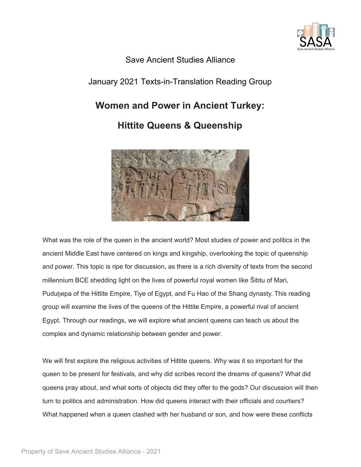

## Save Ancient Studies Alliance

## January 2021 Texts-in-Translation Reading Group

# **Women and Power in Ancient Turkey:**

# **Hittite Queens & Queenship**



What was the role of the queen in the ancient world? Most studies of power and politics in the ancient Middle East have centered on kings and kingship, overlooking the topic of queenship and power. This topic is ripe for discussion, as there is a rich diversity of texts from the second millennium BCE shedding light on the lives of powerful royal women like Šibtu of Mari, Puduḫepa of the Hittite Empire, Tiye of Egypt, and Fu Hao of the Shang dynasty. This reading group will examine the lives of the queens of the Hittite Empire, a powerful rival of ancient Egypt. Through our readings, we will explore what ancient queens can teach us about the complex and dynamic relationship between gender and power.

We will first explore the religious activities of Hittite queens. Why was it so important for the queen to be present for festivals, and why did scribes record the dreams of queens? What did queens pray about, and what sorts of objects did they offer to the gods? Our discussion will then turn to politics and administration. How did queens interact with their officials and courtiers? What happened when a queen clashed with her husband or son, and how were these conflicts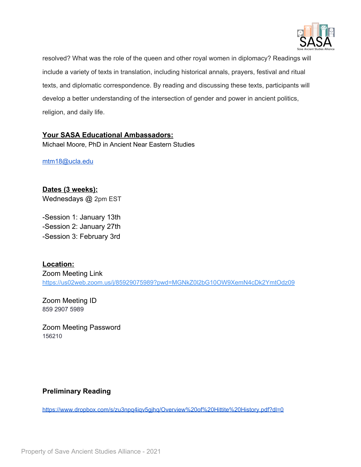

resolved? What was the role of the queen and other royal women in diplomacy? Readings will include a variety of texts in translation, including historical annals, prayers, festival and ritual texts, and diplomatic correspondence. By reading and discussing these texts, participants will develop a better understanding of the intersection of gender and power in ancient politics, religion, and daily life.

## **Your SASA Educational Ambassadors:**

Michael Moore, PhD in Ancient Near Eastern Studies

[mtm18@ucla.edu](mailto:mtm18@ucla.edu)

**Dates (3 weeks):** Wednesdays @ 2pm EST

-Session 1: January 13th -Session 2: January 27th -Session 3: February 3rd

**Location:** Zoom Meeting Link <https://us02web.zoom.us/j/85929075989?pwd=MGNkZ0l2bG10OW9XemN4cDk2YmtOdz09>

Zoom Meeting ID 859 2907 5989

Zoom Meeting Password 156210

## **Preliminary Reading**

<https://www.dropbox.com/s/zu3npq4iqv5gjhq/Overview%20of%20Hittite%20History.pdf?dl=0>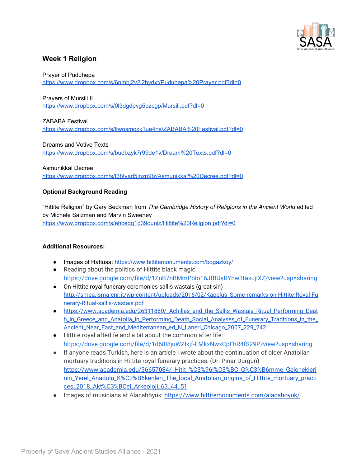

## **Week 1 Religion**

Prayer of Puduhepa

[https://www.dropbox.com/s/6nmbj2v2l2hydxt/Puduhepa%20Prayer.pdf?dl=0](https://www.dropbox.com/s/6nmbj2v2l2hydxt/Puduhepa%2520Prayer.pdf?dl=0)

Prayers of Mursili II

<https://www.dropbox.com/s/0l3dgdpvg5bzcgp/Mursili.pdf?dl=0>

ZABABA Festival [https://www.dropbox.com/s/lfwosmozk1ue4ns/ZABABA%20Festival.pdf?dl=0](https://www.dropbox.com/s/lfwosmozk1ue4ns/ZABABA%2520Festival.pdf?dl=0)

Dreams and Votive Texts https://www.dropbox.com/s/budbzyk7r99de1v/Dream%20Texts.pdf?dl=0

Asmunikkal Decree https://www.dropbox.com/s/f38fyad5jnzp9fz/Asmunikkal%20Decree.pdf?dl=0

#### **Optional Background Reading**

"Hittite Religion" by Gary Beckman from *The Cambridge History of Religions in the Ancient World* edited by Michele Salzman and Marvin Sweeney [https://www.dropbox.com/s/ehceqq1d39ouniz/Hittite%20Religion.pdf?dl=0](https://www.dropbox.com/s/ehceqq1d39ouniz/Hittite%2520Religion.pdf?dl=0)

#### **Additional Resources:**

- Images of Hattusa: <https://www.hittitemonuments.com/bogazkoy/>
- Reading about the politics of Hittite black magic: <https://drive.google.com/file/d/1ZuB7nBMmPbIo16JfBUsRYnw3taxujIXZ/view?usp=sharing>
- On Hittite royal funerary ceremonies sallis wastais (great sin) : [http://smea.isma.cnr.it/wp-content/uploads/2016/02/Kapelus\\_Some-remarks-on-Hittite-Royal-Fu](http://smea.isma.cnr.it/wp-content/uploads/2016/02/Kapelus_Some-remarks-on-Hittite-Royal-Funerary-Ritual-sallis-wastais.pdf) [nerary-Ritual-sallis-wastais.pdf](http://smea.isma.cnr.it/wp-content/uploads/2016/02/Kapelus_Some-remarks-on-Hittite-Royal-Funerary-Ritual-sallis-wastais.pdf)
- [https://www.academia.edu/26311880/\\_Achilles\\_and\\_the\\_Sallis\\_Wastais\\_Ritual\\_Performing\\_Deat](https://www.academia.edu/26311880/_Achilles_and_the_Sallis_Wastais_Ritual_Performing_Death_in_Greece_and_Anatolia_in_Performing_Death_Social_Analyses_of_Funerary_Traditions_in_the_Ancient_Near_East_and_Mediterranean_ed_N_Laneri_Chicago_2007_229_242) [h\\_in\\_Greece\\_and\\_Anatolia\\_in\\_Performing\\_Death\\_Social\\_Analyses\\_of\\_Funerary\\_Traditions\\_in\\_the\\_](https://www.academia.edu/26311880/_Achilles_and_the_Sallis_Wastais_Ritual_Performing_Death_in_Greece_and_Anatolia_in_Performing_Death_Social_Analyses_of_Funerary_Traditions_in_the_Ancient_Near_East_and_Mediterranean_ed_N_Laneri_Chicago_2007_229_242) [Ancient\\_Near\\_East\\_and\\_Mediterranean\\_ed\\_N\\_Laneri\\_Chicago\\_2007\\_229\\_242](https://www.academia.edu/26311880/_Achilles_and_the_Sallis_Wastais_Ritual_Performing_Death_in_Greece_and_Anatolia_in_Performing_Death_Social_Analyses_of_Funerary_Traditions_in_the_Ancient_Near_East_and_Mediterranean_ed_N_Laneri_Chicago_2007_229_242)
- Hittite royal afterlife and a bit about the common after life: <https://drive.google.com/file/d/1d68I8juWZIkjf-EMkxNwxCpFhR4fS29P/view?usp=sharing>
- If anyone reads Turkish, here is an article I wrote about the continuation of older Anatolian mortuary traditions in Hittite royal funerary practices: (Dr. Pinar Durgun) [https://www.academia.edu/36657084/\\_Hitit\\_%C3%96l%C3%BC\\_G%C3%B6mme\\_Gelenekleri](https://www.academia.edu/36657084/_Hitit_%C3%96l%C3%BC_G%C3%B6mme_Geleneklerinin_Yerel_Anadolu_K%C3%B6kenleri_The_local_Anatolian_origins_of_Hittite_mortuary_practices_2018_Akt%C3%BCel_Arkeoloji_63_44_51) [nin\\_Yerel\\_Anadolu\\_K%C3%B6kenleri\\_The\\_local\\_Anatolian\\_origins\\_of\\_Hittite\\_mortuary\\_practi](https://www.academia.edu/36657084/_Hitit_%C3%96l%C3%BC_G%C3%B6mme_Geleneklerinin_Yerel_Anadolu_K%C3%B6kenleri_The_local_Anatolian_origins_of_Hittite_mortuary_practices_2018_Akt%C3%BCel_Arkeoloji_63_44_51) [ces\\_2018\\_Akt%C3%BCel\\_Arkeoloji\\_63\\_44\\_51](https://www.academia.edu/36657084/_Hitit_%C3%96l%C3%BC_G%C3%B6mme_Geleneklerinin_Yerel_Anadolu_K%C3%B6kenleri_The_local_Anatolian_origins_of_Hittite_mortuary_practices_2018_Akt%C3%BCel_Arkeoloji_63_44_51)
- Images of musicians at Alacahöyük: <https://www.hittitemonuments.com/alacahoyuk/>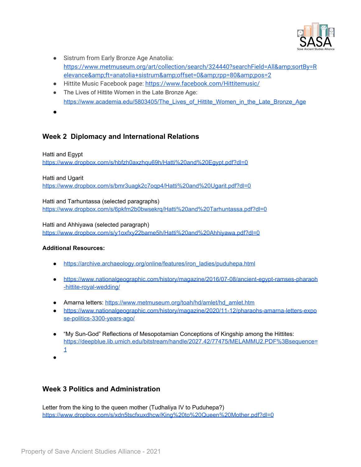

- Sistrum from Early Bronze Age Anatolia: [https://www.metmuseum.org/art/collection/search/324440?searchField=All&sortBy=R](https://www.metmuseum.org/art/collection/search/324440?searchField=All&sortBy=Relevance&ft=anatolia+sistrum&offset=0&rpp=80&pos=2) [elevance&ft=anatolia+sistrum&offset=0&rpp=80&pos=2](https://www.metmuseum.org/art/collection/search/324440?searchField=All&sortBy=Relevance&ft=anatolia+sistrum&offset=0&rpp=80&pos=2)
- Hittite Music Facebook page: <https://www.facebook.com/Hittitemusic/>
- The Lives of Hittite Women in the Late Bronze Age: [https://www.academia.edu/5803405/The\\_Lives\\_of\\_Hittite\\_Women\\_in\\_the\\_Late\\_Bronze\\_Age](https://www.academia.edu/5803405/The_Lives_of_Hittite_Women_in_the_Late_Bronze_Age)
- ●

## **Week 2 Diplomacy and International Relations**

#### Hatti and Egypt

<https://www.dropbox.com/s/hbfzh0axzhqu69h/Hatti%20and%20Egypt.pdf?dl=0>

Hatti and Ugarit

<https://www.dropbox.com/s/bmr3uagk2c7oqp4/Hatti%20and%20Ugarit.pdf?dl=0>

Hatti and Tarhuntassa (selected paragraphs) <https://www.dropbox.com/s/6pkfm2b0bwsekrq/Hatti%20and%20Tarhuntassa.pdf?dl=0>

Hatti and Ahhiyawa (selected paragraph) <https://www.dropbox.com/s/y1oxfxy22bame5h/Hatti%20and%20Ahhiyawa.pdf?dl=0>

#### **Additional Resources:**

- [https://archive.archaeology.org/online/features/iron\\_ladies/puduhepa.html](https://archive.archaeology.org/online/features/iron_ladies/puduhepa.html)
- [https://www.nationalgeographic.com/history/magazine/2016/07-08/ancient-egypt-ramses-pharaoh](https://www.nationalgeographic.com/history/magazine/2016/07-08/ancient-egypt-ramses-pharaoh-hittite-royal-wedding/) [-hittite-royal-wedding/](https://www.nationalgeographic.com/history/magazine/2016/07-08/ancient-egypt-ramses-pharaoh-hittite-royal-wedding/)
- Amarna letters: [https://www.metmuseum.org/toah/hd/amlet/hd\\_amlet.htm](https://www.metmuseum.org/toah/hd/amlet/hd_amlet.htm)
- [https://www.nationalgeographic.com/history/magazine/2020/11-12/pharaohs-amarna-letters-expo](https://www.nationalgeographic.com/history/magazine/2020/11-12/pharaohs-amarna-letters-expose-politics-3300-years-ago/) [se-politics-3300-years-ago/](https://www.nationalgeographic.com/history/magazine/2020/11-12/pharaohs-amarna-letters-expose-politics-3300-years-ago/)
- "My Sun-God" Reflections of Mesopotamian Conceptions of Kingship among the Hittites: [https://deepblue.lib.umich.edu/bitstream/handle/2027.42/77475/MELAMMU2.PDF%3Bsequence=](https://deepblue.lib.umich.edu/bitstream/handle/2027.42/77475/MELAMMU2.PDF%3Bsequence=1) [1](https://deepblue.lib.umich.edu/bitstream/handle/2027.42/77475/MELAMMU2.PDF%3Bsequence=1)
- ●

### **Week 3 Politics and Administration**

Letter from the king to the queen mother (Tudhaliya IV to Puduhepa?) <https://www.dropbox.com/s/xdn5tscfxuxdhcw/King%20to%20Queen%20Mother.pdf?dl=0>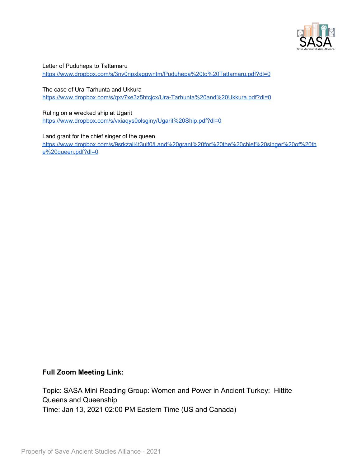

Letter of Puduhepa to Tattamaru

<https://www.dropbox.com/s/3nv0npxlaggwntm/Puduhepa%20to%20Tattamaru.pdf?dl=0>

The case of Ura-Tarhunta and Ukkura <https://www.dropbox.com/s/qxv7xe3z5htcjcx/Ura-Tarhunta%20and%20Ukkura.pdf?dl=0>

Ruling on a wrecked ship at Ugarit <https://www.dropbox.com/s/vxiaqys0olsginy/Ugarit%20Ship.pdf?dl=0>

Land grant for the chief singer of the queen [https://www.dropbox.com/s/9srkzaii4t3ulf0/Land%20grant%20for%20the%20chief%20singer%20of%20th](https://www.dropbox.com/s/9srkzaii4t3ulf0/Land%20grant%20for%20the%20chief%20singer%20of%20the%20queen.pdf?dl=0) [e%20queen.pdf?dl=0](https://www.dropbox.com/s/9srkzaii4t3ulf0/Land%20grant%20for%20the%20chief%20singer%20of%20the%20queen.pdf?dl=0)

### **Full Zoom Meeting Link:**

Topic: SASA Mini Reading Group: Women and Power in Ancient Turkey: Hittite Queens and Queenship Time: Jan 13, 2021 02:00 PM Eastern Time (US and Canada)